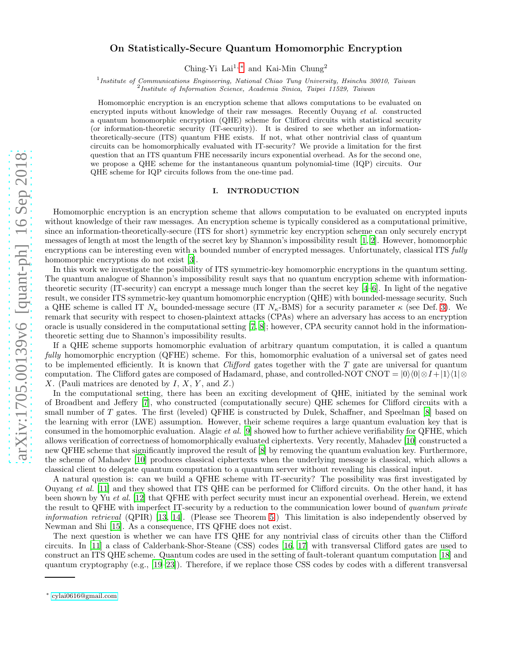# On Statistically-Secure Quantum Homomorphic Encryption

Ching-Yi Lai<sup>1,[∗](#page-0-0)</sup> and Kai-Min Chung<sup>2</sup>

<sup>1</sup> Institute of Communications Engineering, National Chiao Tung University, Hsinchu 30010, Taiwan 2 Institute of Information Science, Academia Sinica, Taipei 11529, Taiwan

Homomorphic encryption is an encryption scheme that allows computations to be evaluated on encrypted inputs without knowledge of their raw messages. Recently Ouyang *et al.* constructed a quantum homomorphic encryption (QHE) scheme for Clifford circuits with statistical security (or information-theoretic security (IT-security)). It is desired to see whether an informationtheoretically-secure (ITS) quantum FHE exists. If not, what other nontrivial class of quantum circuits can be homomorphically evaluated with IT-security? We provide a limitation for the first question that an ITS quantum FHE necessarily incurs exponential overhead. As for the second one, we propose a QHE scheme for the instantaneous quantum polynomial-time (IQP) circuits. Our QHE scheme for IQP circuits follows from the one-time pad.

## I. INTRODUCTION

Homomorphic encryption is an encryption scheme that allows computation to be evaluated on encrypted inputs without knowledge of their raw messages. An encryption scheme is typically considered as a computational primitive, since an information-theoretically-secure (ITS for short) symmetric key encryption scheme can only securely encrypt messages of length at most the length of the secret key by Shannon's impossibility result [\[1,](#page-5-0) [2\]](#page-5-1). However, homomorphic encryptions can be interesting even with a bounded number of encrypted messages. Unfortunately, classical ITS fully homomorphic encryptions do not exist [\[3\]](#page-5-2).

In this work we investigate the possibility of ITS symmetric-key homomorphic encryptions in the quantum setting. The quantum analogue of Shannon's impossibility result says that no quantum encryption scheme with informationtheoretic security (IT-security) can encrypt a message much longer than the secret key [\[4](#page-5-3)[–6\]](#page-5-4). In light of the negative result, we consider ITS symmetric-key quantum homomorphic encryption (QHE) with bounded-message security. Such a QHE scheme is called IT  $N_{\kappa}$  bounded-message secure (IT  $N_{\kappa}$ -BMS) for a security parameter  $\kappa$  (see Def. [3\)](#page-3-0). We remark that security with respect to chosen-plaintext attacks (CPAs) where an adversary has access to an encryption oracle is usually considered in the computational setting [\[7,](#page-5-5) [8](#page-5-6)]; however, CPA security cannot hold in the informationtheoretic setting due to Shannon's impossibility results.

If a QHE scheme supports homomorphic evaluation of arbitrary quantum computation, it is called a quantum fully homomorphic encryption (QFHE) scheme. For this, homomorphic evaluation of a universal set of gates need to be implemented efficiently. It is known that *Clifford* gates together with the  $T$  gate are universal for quantum computation. The Clifford gates are composed of Hadamard, phase, and controlled-NOT CNOT =  $|0\rangle\langle0|\otimes I+|1\rangle\langle1|\otimes$ X. (Pauli matrices are denoted by  $I, X, Y$ , and  $Z$ .)

In the computational setting, there has been an exciting development of QHE, initiated by the seminal work of Broadbent and Jeffery [\[7\]](#page-5-5), who constructed (computationally secure) QHE schemes for Clifford circuits with a small number of T gates. The first (leveled) QFHE is constructed by Dulek, Schaffner, and Speelman [\[8\]](#page-5-6) based on the learning with error (LWE) assumption. However, their scheme requires a large quantum evaluation key that is consumed in the homomorphic evaluation. Alagic et al. [\[9\]](#page-6-0) showed how to further achieve verifiability for QFHE, which allows verification of correctness of homomorphically evaluated ciphertexts. Very recently, Mahadev [\[10\]](#page-6-1) constructed a new QFHE scheme that significantly improved the result of [\[8](#page-5-6)] by removing the quantum evaluation key. Furthermore, the scheme of Mahadev [\[10](#page-6-1)] produces classical ciphertexts when the underlying message is classical, which allows a classical client to delegate quantum computation to a quantum server without revealing his classical input.

A natural question is: can we build a QFHE scheme with IT-security? The possibility was first investigated by Ouyang et al. [\[11\]](#page-6-2) and they showed that ITS QHE can be performed for Clifford circuits. On the other hand, it has been shown by Yu et al. [\[12\]](#page-6-3) that QFHE with perfect security must incur an exponential overhead. Herein, we extend the result to QFHE with imperfect IT-security by a reduction to the communication lower bound of quantum private information retrieval (QPIR) [\[13,](#page-6-4) [14](#page-6-5)]. (Please see Theorem [5.](#page-3-1)) This limitation is also independently observed by Newman and Shi [\[15\]](#page-6-6). As a consequence, ITS QFHE does not exist.

The next question is whether we can have ITS QHE for any nontrivial class of circuits other than the Clifford circuits. In [\[11\]](#page-6-2) a class of Calderbank-Shor-Steane (CSS) codes [\[16,](#page-6-7) [17\]](#page-6-8) with transversal Clifford gates are used to construct an ITS QHE scheme. Quantum codes are used in the setting of fault-tolerant quantum computation [\[18\]](#page-6-9) and quantum cryptography (e.g., [\[19](#page-6-10)[–23\]](#page-6-11)). Therefore, if we replace those CSS codes by codes with a different transversal

<span id="page-0-0"></span><sup>∗</sup> [cylai0616@gmail.com](mailto:cylai0616@gmail.com)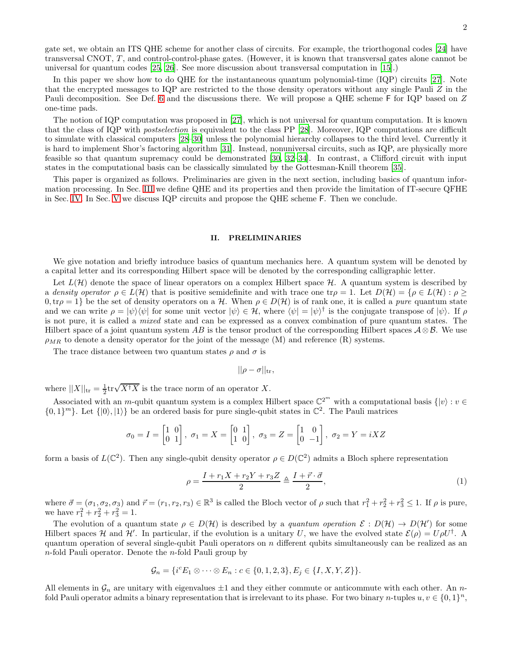gate set, we obtain an ITS QHE scheme for another class of circuits. For example, the triorthogonal codes [\[24](#page-6-12)] have transversal CNOT, T , and control-control-phase gates. (However, it is known that transversal gates alone cannot be universal for quantum codes [\[25](#page-6-13), [26](#page-6-14)]. See more discussion about transversal computation in [\[15\]](#page-6-6).)

In this paper we show how to do QHE for the instantaneous quantum polynomial-time (IQP) circuits [\[27](#page-6-15)]. Note that the encrypted messages to IQP are restricted to the those density operators without any single Pauli Z in the Pauli decomposition. See Def. [6](#page-4-0) and the discussions there. We will propose a QHE scheme F for IQP based on Z one-time pads.

The notion of IQP computation was proposed in [\[27\]](#page-6-15), which is not universal for quantum computation. It is known that the class of IQP with postselection is equivalent to the class PP [\[28](#page-6-16)]. Moreover, IQP computations are difficult to simulate with classical computers [\[28](#page-6-16)[–30\]](#page-6-17) unless the polynomial hierarchy collapses to the third level. Currently it is hard to implement Shor's factoring algorithm [\[31](#page-6-18)]. Instead, nonuniversal circuits, such as IQP, are physically more feasible so that quantum supremacy could be demonstrated [\[30](#page-6-17), [32](#page-6-19)[–34\]](#page-6-20). In contrast, a Clifford circuit with input states in the computational basis can be classically simulated by the Gottesman-Knill theorem [\[35](#page-6-21)].

This paper is organized as follows. Preliminaries are given in the next section, including basics of quantum information processing. In Sec. [III](#page-2-0) we define QHE and its properties and then provide the limitation of IT-secure QFHE in Sec. [IV.](#page-3-2) In Sec. [V](#page-4-1) we discuss IQP circuits and propose the QHE scheme F. Then we conclude.

### II. PRELIMINARIES

We give notation and briefly introduce basics of quantum mechanics here. A quantum system will be denoted by a capital letter and its corresponding Hilbert space will be denoted by the corresponding calligraphic letter.

Let  $L(\mathcal{H})$  denote the space of linear operators on a complex Hilbert space  $\mathcal{H}$ . A quantum system is described by a density operator  $\rho \in L(H)$  that is positive semidefinite and with trace one tr $\rho = 1$ . Let  $D(H) = \{ \rho \in L(H) : \rho \geq 1 \}$  $0, \text{tr}\rho = 1$  be the set of density operators on a H. When  $\rho \in D(\mathcal{H})$  is of rank one, it is called a *pure* quantum state and we can write  $\rho = |\psi\rangle\langle\psi|$  for some unit vector  $|\psi\rangle \in \mathcal{H}$ , where  $\langle\psi| = |\psi\rangle^{\dagger}$  is the conjugate transpose of  $|\psi\rangle$ . If  $\rho$ is not pure, it is called a mixed state and can be expressed as a convex combination of pure quantum states. The Hilbert space of a joint quantum system AB is the tensor product of the corresponding Hilbert spaces  $\mathcal{A} \otimes \mathcal{B}$ . We use  $\rho_{MR}$  to denote a density operator for the joint of the message (M) and reference (R) systems.

The trace distance between two quantum states  $\rho$  and  $\sigma$  is

$$
||\rho - \sigma||_{\text{tr}},
$$

where  $||X||_{tr} = \frac{1}{2} \text{tr} \sqrt{X^{\dagger} X}$  is the trace norm of an operator X.

Associated with an m-qubit quantum system is a complex Hilbert space  $\mathbb{C}^{2^m}$  with a computational basis  $\{|v\rangle : v \in \mathbb{C}^{2^m}\}$  $\{0,1\}^m\}$ . Let  $\{|0\rangle,|1\rangle\}$  be an ordered basis for pure single-qubit states in  $\mathbb{C}^2$ . The Pauli matrices

$$
\sigma_0 = I = \begin{bmatrix} 1 & 0 \\ 0 & 1 \end{bmatrix}, \ \sigma_1 = X = \begin{bmatrix} 0 & 1 \\ 1 & 0 \end{bmatrix}, \ \sigma_3 = Z = \begin{bmatrix} 1 & 0 \\ 0 & -1 \end{bmatrix}, \ \sigma_2 = Y = iXZ
$$

form a basis of  $L(\mathbb{C}^2)$ . Then any single-qubit density operator  $\rho \in D(\mathbb{C}^2)$  admits a Bloch sphere representation

$$
\rho = \frac{I + r_1 X + r_2 Y + r_3 Z}{2} \triangleq \frac{I + \vec{r} \cdot \vec{\sigma}}{2},\tag{1}
$$

where  $\vec{\sigma} = (\sigma_1, \sigma_2, \sigma_3)$  and  $\vec{r} = (r_1, r_2, r_3) \in \mathbb{R}^3$  is called the Bloch vector of  $\rho$  such that  $r_1^2 + r_2^2 + r_3^2 \leq 1$ . If  $\rho$  is pure, we have  $r_1^2 + r_2^2 + r_3^2 = 1$ .

The evolution of a quantum state  $\rho \in D(\mathcal{H})$  is described by a quantum operation  $\mathcal{E}: D(\mathcal{H}) \to D(\mathcal{H}')$  for some Hilbert spaces H and H'. In particular, if the evolution is a unitary U, we have the evolved state  $\mathcal{E}(\rho) = U \rho U^{\dagger}$ . A quantum operation of several single-qubit Pauli operators on  $n$  different qubits simultaneously can be realized as an  $n$ -fold Pauli operator. Denote the  $n$ -fold Pauli group by

$$
\mathcal{G}_n = \{ i^c E_1 \otimes \cdots \otimes E_n : c \in \{0, 1, 2, 3\}, E_j \in \{I, X, Y, Z\} \}.
$$

All elements in  $\mathcal{G}_n$  are unitary with eigenvalues  $\pm 1$  and they either commute or anticommute with each other. An nfold Pauli operator admits a binary representation that is irrelevant to its phase. For two binary *n*-tuples  $u, v \in \{0, 1\}^n$ ,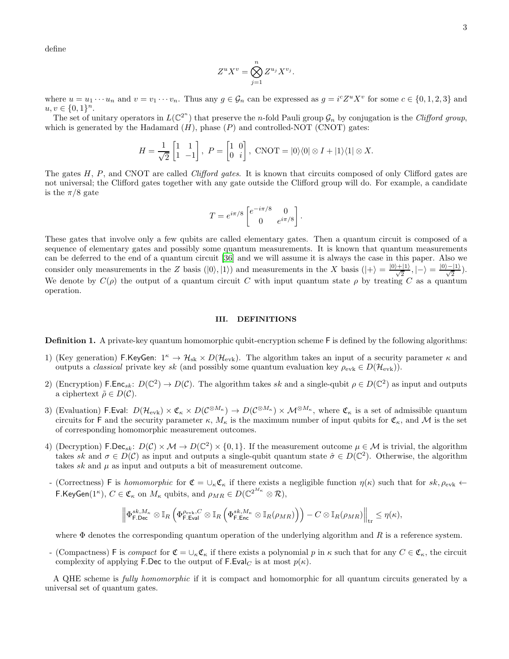define

$$
Z^u X^v = \bigotimes_{j=1}^n Z^{u_j} X^{v_j}.
$$

where  $u = u_1 \cdots u_n$  and  $v = v_1 \cdots v_n$ . Thus any  $g \in \mathcal{G}_n$  can be expressed as  $g = i^c Z^u X^v$  for some  $c \in \{0, 1, 2, 3\}$  and  $u, v \in \{0, 1\}^n$ .

The set of unitary operators in  $L(\mathbb{C}^2)$  that preserve the n-fold Pauli group  $\mathcal{G}_n$  by conjugation is the Clifford group, which is generated by the Hadamard  $(H)$ , phase  $(P)$  and controlled-NOT (CNOT) gates:

$$
H = \frac{1}{\sqrt{2}} \begin{bmatrix} 1 & 1 \\ 1 & -1 \end{bmatrix}, \ P = \begin{bmatrix} 1 & 0 \\ 0 & i \end{bmatrix}, \ \text{CNOT} = |0\rangle\langle 0| \otimes I + |1\rangle\langle 1| \otimes X.
$$

The gates H, P, and CNOT are called *Clifford gates*. It is known that circuits composed of only Clifford gates are not universal; the Clifford gates together with any gate outside the Clifford group will do. For example, a candidate is the  $\pi/8$  gate

$$
T = e^{i\pi/8} \begin{bmatrix} e^{-i\pi/8} & 0\\ 0 & e^{i\pi/8} \end{bmatrix}.
$$

These gates that involve only a few qubits are called elementary gates. Then a quantum circuit is composed of a sequence of elementary gates and possibly some quantum measurements. It is known that quantum measurements can be deferred to the end of a quantum circuit [\[36\]](#page-6-22) and we will assume it is always the case in this paper. Also we consider only measurements in the Z basis  $(|0\rangle, |1\rangle)$  and measurements in the X basis  $(|+\rangle = \frac{|0\rangle + |1\rangle}{\sqrt{2}}, |-\rangle = \frac{|0\rangle - |1\rangle}{\sqrt{2}}$ . We denote by  $C(\rho)$  the output of a quantum circuit C with input quantum state  $\rho$  by treating C as a quantum operation.

## <span id="page-2-0"></span>III. DEFINITIONS

<span id="page-2-1"></span>Definition 1. A private-key quantum homomorphic qubit-encryption scheme F is defined by the following algorithms:

- 1) (Key generation) F.KeyGen:  $1^{\kappa} \to H_{\rm sk} \times D(H_{\rm evk})$ . The algorithm takes an input of a security parameter  $\kappa$  and outputs a *classical* private key sk (and possibly some quantum evaluation key  $\rho_{\text{evk}} \in D(\mathcal{H}_{\text{evk}})$ ).
- 2) (Encryption) F.Enc<sub>sk</sub>:  $D(\mathbb{C}^2) \to D(\mathcal{C})$ . The algorithm takes sk and a single-qubit  $\rho \in D(\mathbb{C}^2)$  as input and outputs a ciphertext  $\tilde{\rho} \in D(\mathcal{C})$ .
- 3) (Evaluation) F.Eval:  $D(\mathcal{H}_{evk}) \times \mathfrak{C}_{\kappa} \times D(\mathcal{C}^{\otimes M_{\kappa}}) \to D(\mathcal{C}^{\otimes M_{\kappa}}) \times \mathcal{M}^{\otimes M_{\kappa}}$ , where  $\mathfrak{C}_{\kappa}$  is a set of admissible quantum circuits for F and the security parameter  $\kappa$ ,  $M_{\kappa}$  is the maximum number of input qubits for  $\mathfrak{C}_{\kappa}$ , and M is the set of corresponding homomorphic measurement outcomes.
- 4) (Decryption)  $\mathsf{F.Dec}_{sk}: D(\mathcal{C}) \times \mathcal{M} \to D(\mathbb{C}^2) \times \{0,1\}$ . If the measurement outcome  $\mu \in \mathcal{M}$  is trivial, the algorithm takes sk and  $\sigma \in D(\mathcal{C})$  as input and outputs a single-qubit quantum state  $\hat{\sigma} \in D(\mathbb{C}^2)$ . Otherwise, the algorithm takes sk and  $\mu$  as input and outputs a bit of measurement outcome.
- (Correctness) F is homomorphic for  $\mathfrak{C} = \cup_{\kappa} \mathfrak{C}_{\kappa}$  if there exists a negligible function  $\eta(\kappa)$  such that for  $sk, \rho_{evk} \leftarrow$ **F.KeyGen**(1<sup>*K*</sup>),  $C \in \mathfrak{C}_{\kappa}$  on  $M_{\kappa}$  qubits, and  $\rho_{MR} \in D(\mathbb{C}^{2^{M_{\kappa}}} \otimes \mathcal{R}),$

$$
\left\| \Phi_{\mathsf{F},\mathsf{Dec}}^{sk,M_\kappa} \otimes \mathbb{I}_R \left( \Phi_{\mathsf{F},\mathsf{Eval}}^{\rho_{\mathrm{evk}},C} \otimes \mathbb{I}_R \left( \Phi_{\mathsf{F},\mathsf{Enc}}^{sk,M_\kappa} \otimes \mathbb{I}_R(\rho_{MR}) \right) \right) - C \otimes \mathbb{I}_R(\rho_{MR}) \right\|_{\text{tr}} \leq \eta(\kappa),
$$

where  $\Phi$  denotes the corresponding quantum operation of the underlying algorithm and R is a reference system.

- (Compactness) F is compact for  $\mathfrak{C} = \cup_{\kappa} \mathfrak{C}_{\kappa}$  if there exists a polynomial p in  $\kappa$  such that for any  $C \in \mathfrak{C}_{\kappa}$ , the circuit complexity of applying F.Dec to the output of F.Eval<sub>C</sub> is at most  $p(\kappa)$ .

A QHE scheme is fully homomorphic if it is compact and homomorphic for all quantum circuits generated by a universal set of quantum gates.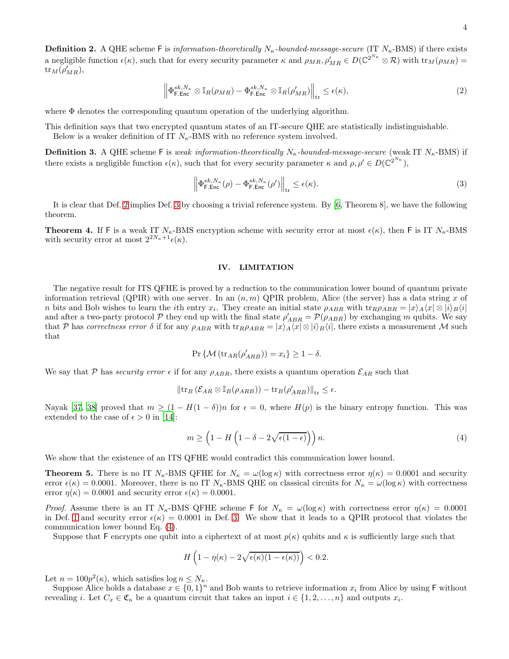$$
\left\| \Phi_{\mathsf{F.Enc}}^{sk, N_{\kappa}} \otimes \mathbb{I}_R(\rho_{MR}) - \Phi_{\mathsf{F.Enc}}^{sk, N_{\kappa}} \otimes \mathbb{I}_R(\rho'_{MR}) \right\|_{\text{tr}} \le \epsilon(\kappa),\tag{2}
$$

<span id="page-3-3"></span>where  $\Phi$  denotes the corresponding quantum operation of the underlying algorithm.

This definition says that two encrypted quantum states of an IT-secure QHE are statistically indistinguishable. Below is a weaker definition of IT  $N_{\kappa}$ -BMS with no reference system involved.

<span id="page-3-0"></span>**Definition 3.** A QHE scheme F is weak information-theoretically  $N_{\kappa}$ -bounded-message-secure (weak IT  $N_{\kappa}$ -BMS) if there exists a negligible function  $\epsilon(\kappa)$ , such that for every security parameter  $\kappa$  and  $\rho, \rho' \in D(\mathbb{C}^{2^{N_{\kappa}}})$ ,

$$
\left\| \Phi_{\mathsf{F},\mathsf{Enc}}^{sk,N_{\kappa}}(\rho) - \Phi_{\mathsf{F},\mathsf{Enc}}^{sk,N_{\kappa}}(\rho') \right\|_{\text{tr}} \leq \epsilon(\kappa). \tag{3}
$$

It is clear that Def. [2](#page-3-3) implies Def. [3](#page-3-0) by choosing a trivial reference system. By [\[6](#page-5-4), Theorem 8], we have the following theorem.

<span id="page-3-5"></span>**Theorem 4.** If F is a weak IT  $N_{\kappa}$ -BMS encryption scheme with security error at most  $\epsilon(\kappa)$ , then F is IT  $N_{\kappa}$ -BMS with security error at most  $2^{2N_{\kappa}+1}\epsilon(\kappa)$ .

#### <span id="page-3-2"></span>IV. LIMITATION

The negative result for ITS QFHE is proved by a reduction to the communication lower bound of quantum private information retrieval (QPIR) with one server. In an  $(n, m)$  QPIR problem, Alice (the server) has a data string x of n bits and Bob wishes to learn the *i*th entry  $x_i$ . They create an initial state  $\rho_{ABR}$  with  $\text{tr}_{R}\rho_{ABR} = |x\rangle_A \langle x| \otimes |i\rangle_B \langle i|$ and after a two-party protocol  $P$  they end up with the final state  $\rho'_{ABR} = P(\rho_{ABR})$  by exchanging m qubits. We say that P has correctness error  $\delta$  if for any  $\rho_{ABR}$  with  $\text{tr}_{R}\rho_{ABR} = |x\rangle_A\langle x| \otimes |i\rangle_B\langle i|$ , there exists a measurement M such that

$$
\Pr\left\{\mathcal{M}\left(\text{tr}_{AR}(\rho'_{ARB})\right) = x_i\right\} \ge 1 - \delta.
$$

We say that P has security error  $\epsilon$  if for any  $\rho_{ABR}$ , there exists a quantum operation  $\mathcal{E}_{AR}$  such that

$$
\|\text{tr}_B\left(\mathcal{E}_{AR}\otimes\mathbb{I}_B(\rho_{ARB})\right)-\text{tr}_B(\rho'_{ARB})\|_{\text{tr}}\leq\epsilon.
$$

Nayak [\[37](#page-6-23), [38\]](#page-6-24) proved that  $m \geq (1 - H(1 - \delta))n$  for  $\epsilon = 0$ , where  $H(p)$  is the binary entropy function. This was extended to the case of  $\epsilon > 0$  in [\[14](#page-6-5)]:

<span id="page-3-4"></span>
$$
m \ge \left(1 - H\left(1 - \delta - 2\sqrt{\epsilon(1 - \epsilon)}\right)\right) n. \tag{4}
$$

We show that the existence of an ITS QFHE would contradict this communication lower bound.

<span id="page-3-1"></span>**Theorem 5.** There is no IT  $N_{\kappa}$ -BMS QFHE for  $N_{\kappa} = \omega(\log \kappa)$  with correctness error  $\eta(\kappa) = 0.0001$  and security error  $\epsilon(\kappa) = 0.0001$ . Moreover, there is no IT  $N_{\kappa}$ -BMS QHE on classical circuits for  $N_{\kappa} = \omega(\log \kappa)$  with correctness error  $\eta(\kappa) = 0.0001$  and security error  $\epsilon(\kappa) = 0.0001$ .

Proof. Assume there is an IT  $N_{\kappa}$ -BMS QFHE scheme F for  $N_{\kappa} = \omega(\log \kappa)$  with correctness error  $\eta(\kappa) = 0.0001$ in Def. [1](#page-2-1) and security error  $\epsilon(\kappa) = 0.0001$  in Def. [3.](#page-3-0) We show that it leads to a QPIR protocol that violates the communication lower bound Eq. [\(4\)](#page-3-4).

Suppose that F encrypts one qubit into a ciphertext of at most  $p(\kappa)$  qubits and  $\kappa$  is sufficiently large such that

$$
H\left(1-\eta(\kappa)-2\sqrt{\epsilon(\kappa)(1-\epsilon(\kappa))}\right)<0.2.
$$

Let  $n = 100p^2(\kappa)$ , which satisfies  $\log n \leq N_{\kappa}$ .

Suppose Alice holds a database  $x \in \{0,1\}^n$  and Bob wants to retrieve information  $x_i$  from Alice by using F without revealing i. Let  $C_x \in \mathfrak{C}_{\kappa}$  be a quantum circuit that takes an input  $i \in \{1, 2, ..., n\}$  and outputs  $x_i$ .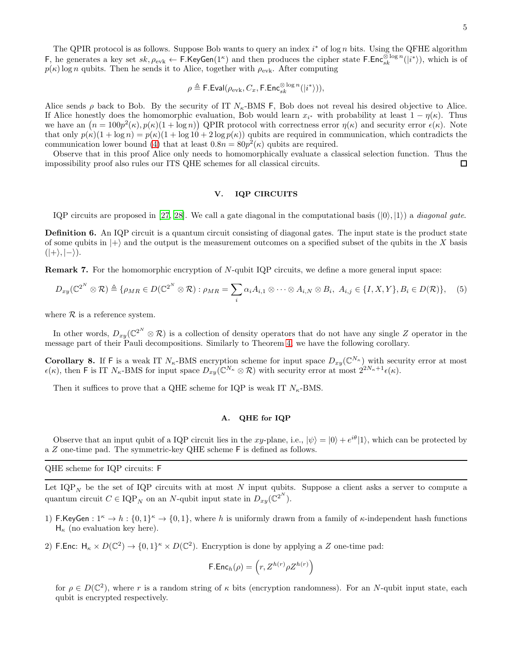$$
\rho \triangleq \mathsf{F}.\mathsf{Eval}(\rho_{\mathrm{evk}}, C_x, \mathsf{F}.\mathsf{Enc}_{sk}^{\otimes \log n}(|i^* \rangle)),
$$

Alice sends  $\rho$  back to Bob. By the security of IT  $N_{\kappa}$ -BMS F, Bob does not reveal his desired objective to Alice. If Alice honestly does the homomorphic evaluation, Bob would learn  $x_{i^*}$  with probability at least  $1 - \eta(\kappa)$ . Thus we have an  $(n = 100p^2(\kappa), p(\kappa)(1 + \log n))$  QPIR protocol with correctness error  $\eta(\kappa)$  and security error  $\epsilon(\kappa)$ . Note that only  $p(\kappa)(1 + \log n) = p(\kappa)(1 + \log 10 + 2 \log p(\kappa))$  qubits are required in communication, which contradicts the communication lower bound [\(4\)](#page-3-4) that at least  $0.8n = 80p^2(\kappa)$  qubits are required.

Observe that in this proof Alice only needs to homomorphically evaluate a classical selection function. Thus the impossibility proof also rules our ITS QHE schemes for all classical circuits.  $\Box$ 

# <span id="page-4-1"></span>V. IQP CIRCUITS

IQP circuits are proposed in [\[27,](#page-6-15) [28\]](#page-6-16). We call a gate diagonal in the computational basis  $(|0\rangle, |1\rangle)$  a *diagonal gate*.

<span id="page-4-0"></span>Definition 6. An IQP circuit is a quantum circuit consisting of diagonal gates. The input state is the product state of some qubits in  $|+\rangle$  and the output is the measurement outcomes on a specified subset of the qubits in the X basis  $(|+\rangle, |-\rangle).$ 

Remark 7. For the homomorphic encryption of N-qubit IQP circuits, we define a more general input space:

$$
D_{xy}(\mathbb{C}^{2^N}\otimes\mathcal{R})\triangleq\{\rho_{MR}\in D(\mathbb{C}^{2^N}\otimes\mathcal{R}): \rho_{MR}=\sum_i\alpha_iA_{i,1}\otimes\cdots\otimes A_{i,N}\otimes B_i, A_{i,j}\in\{I,X,Y\}, B_i\in D(\mathcal{R})\},\quad(5)
$$

where  $R$  is a reference system.

In other words,  $D_{xy}(\mathbb{C}^2)^N \otimes \mathcal{R}$ ) is a collection of density operators that do not have any single Z operator in the message part of their Pauli decompositions. Similarly to Theorem [4,](#page-3-5) we have the following corollary.

**Corollary 8.** If F is a weak IT  $N_{\kappa}$ -BMS encryption scheme for input space  $D_{xy}(\mathbb{C}^{N_{\kappa}})$  with security error at most  $\epsilon(\kappa)$ , then F is IT  $N_{\kappa}$ -BMS for input space  $D_{xy}(\mathbb{C}^{N_{\kappa}} \otimes \mathcal{R})$  with security error at most  $2^{2N_{\kappa}+1}\epsilon(\kappa)$ .

Then it suffices to prove that a QHE scheme for IQP is weak IT  $N_{\kappa}$ -BMS.

# A. QHE for IQP

Observe that an input qubit of a IQP circuit lies in the xy-plane, i.e.,  $|\psi\rangle = |0\rangle + e^{i\theta}|1\rangle$ , which can be protected by a Z one-time pad. The symmetric-key QHE scheme F is defined as follows.

QHE scheme for IQP circuits: F

Let  $IQP_N$  be the set of IQP circuits with at most N input qubits. Suppose a client asks a server to compute a quantum circuit  $C \in \text{IQP}_N$  on an N-qubit input state in  $D_{xy}(\mathbb{C}^{2^N})$ .

- 1) F.KeyGen :  $1^k \to h : \{0,1\}^k \to \{0,1\}$ , where h is uniformly drawn from a family of  $\kappa$ -independent hash functions  $H_{\kappa}$  (no evaluation key here).
- 2) F.Enc:  $H_{\kappa} \times D(\mathbb{C}^2) \to \{0,1\}^{\kappa} \times D(\mathbb{C}^2)$ . Encryption is done by applying a Z one-time pad:

$$
\mathsf{F}.\mathsf{Enc}_h(\rho) = \left(r, Z^{h(r)} \rho Z^{h(r)}\right)
$$

for  $\rho \in D(\mathbb{C}^2)$ , where r is a random string of  $\kappa$  bits (encryption randomness). For an N-qubit input state, each qubit is encrypted respectively.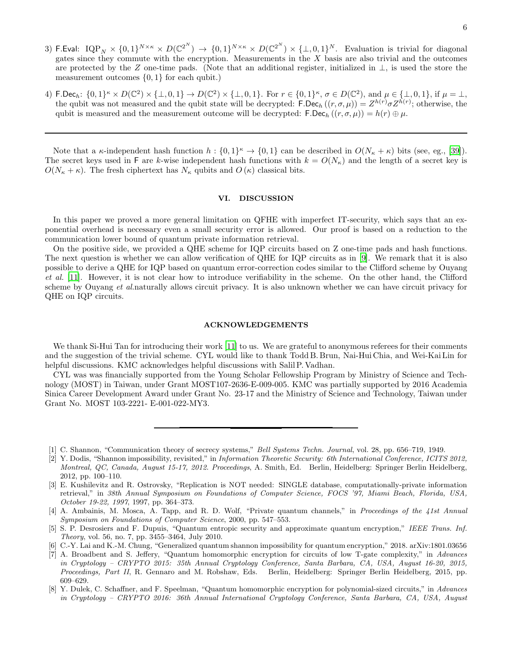- 3) F.Eval:  $\text{IQP}_N \times \{0,1\}^{N \times \kappa} \times D(\mathbb{C}^{2^N}) \to \{0,1\}^{N \times \kappa} \times D(\mathbb{C}^{2^N}) \times \{\perp,0,1\}^N$ . Evaluation is trivial for diagonal gates since they commute with the encryption. Measurements in the  $X$  basis are also trivial and the outcomes are protected by the Z one-time pads. (Note that an additional register, initialized in  $\perp$ , is used the store the measurement outcomes  $\{0, 1\}$  for each qubit.)
- 4) F.Dec<sub>h</sub>:  $\{0,1\}^k \times D(\mathbb{C}^2) \times \{\perp,0,1\} \to D(\mathbb{C}^2) \times \{\perp,0,1\}$ . For  $r \in \{0,1\}^k$ ,  $\sigma \in D(\mathbb{C}^2)$ , and  $\mu \in \{\perp,0,1\}$ , if  $\mu = \perp$ , the qubit was not measured and the qubit state will be decrypted:  $\mathsf{F.Dec}_h((r,\sigma,\mu)) = Z^{h(r)}\sigma Z^{h(r)}$ ; otherwise, the qubit is measured and the measurement outcome will be decrypted: F.Dec<sub>h</sub>  $((r, \sigma, \mu)) = h(r) \oplus \mu$ .

Note that a  $\kappa$ -independent hash function  $h: \{0,1\}^{\kappa} \to \{0,1\}$  can be described in  $O(N_{\kappa} + \kappa)$  bits (see, eg., [\[39\]](#page-6-25)). The secret keys used in F are k-wise independent hash functions with  $k = O(N_{\kappa})$  and the length of a secret key is  $O(N_{\kappa} + \kappa)$ . The fresh ciphertext has  $N_{\kappa}$  qubits and  $O(\kappa)$  classical bits.

### VI. DISCUSSION

In this paper we proved a more general limitation on QFHE with imperfect IT-security, which says that an exponential overhead is necessary even a small security error is allowed. Our proof is based on a reduction to the communication lower bound of quantum private information retrieval.

On the positive side, we provided a QHE scheme for IQP circuits based on Z one-time pads and hash functions. The next question is whether we can allow verification of QHE for IQP circuits as in [\[9](#page-6-0)]. We remark that it is also possible to derive a QHE for IQP based on quantum error-correction codes similar to the Clifford scheme by Ouyang et al. [\[11\]](#page-6-2). However, it is not clear how to introduce verifiability in the scheme. On the other hand, the Clifford scheme by Ouyang et al.naturally allows circuit privacy. It is also unknown whether we can have circuit privacy for QHE on IQP circuits.

## ACKNOWLEDGEMENTS

We thank Si-Hui Tan for introducing their work [\[11\]](#page-6-2) to us. We are grateful to anonymous referees for their comments and the suggestion of the trivial scheme. CYL would like to thank Todd B. Brun, Nai-Hui Chia, and Wei-Kai Lin for helpful discussions. KMC acknowledges helpful discussions with SalilP. Vadhan.

CYL was was financially supported from the Young Scholar Fellowship Program by Ministry of Science and Technology (MOST) in Taiwan, under Grant MOST107-2636-E-009-005. KMC was partially supported by 2016 Academia Sinica Career Development Award under Grant No. 23-17 and the Ministry of Science and Technology, Taiwan under Grant No. MOST 103-2221- E-001-022-MY3.

- <span id="page-5-3"></span>[4] A. Ambainis, M. Mosca, A. Tapp, and R. D. Wolf, "Private quantum channels," in *Proceedings of the 41st Annual Symposium on Foundations of Computer Science*, 2000, pp. 547–553.
- [5] S. P. Desrosiers and F. Dupuis, "Quantum entropic security and approximate quantum encryption," *IEEE Trans. Inf. Theory*, vol. 56, no. 7, pp. 3455–3464, July 2010.
- <span id="page-5-4"></span>[6] C.-Y. Lai and K.-M. Chung, "Generalized quantum shannon impossibility for quantum encryption," 2018. arXiv:1801.03656
- <span id="page-5-5"></span>[7] A. Broadbent and S. Jeffery, "Quantum homomorphic encryption for circuits of low T-gate complexity," in *Advances in Cryptology – CRYPTO 2015: 35th Annual Cryptology Conference, Santa Barbara, CA, USA, August 16-20, 2015, Proceedings, Part II*, R. Gennaro and M. Robshaw, Eds. Berlin, Heidelberg: Springer Berlin Heidelberg, 2015, pp. 609–629.
- <span id="page-5-6"></span>[8] Y. Dulek, C. Schaffner, and F. Speelman, "Quantum homomorphic encryption for polynomial-sized circuits," in *Advances in Cryptology – CRYPTO 2016: 36th Annual International Cryptology Conference, Santa Barbara, CA, USA, August*

<span id="page-5-0"></span><sup>[1]</sup> C. Shannon, "Communication theory of secrecy systems," *Bell Systems Techn. Journal*, vol. 28, pp. 656–719, 1949.

<span id="page-5-1"></span><sup>[2]</sup> Y. Dodis, "Shannon impossibility, revisited," in *Information Theoretic Security: 6th International Conference, ICITS 2012, Montreal, QC, Canada, August 15-17, 2012. Proceedings*, A. Smith, Ed. Berlin, Heidelberg: Springer Berlin Heidelberg, 2012, pp. 100–110.

<span id="page-5-2"></span><sup>[3]</sup> E. Kushilevitz and R. Ostrovsky, "Replication is NOT needed: SINGLE database, computationally-private information retrieval," in *38th Annual Symposium on Foundations of Computer Science, FOCS '97, Miami Beach, Florida, USA, October 19-22, 1997*, 1997, pp. 364–373.